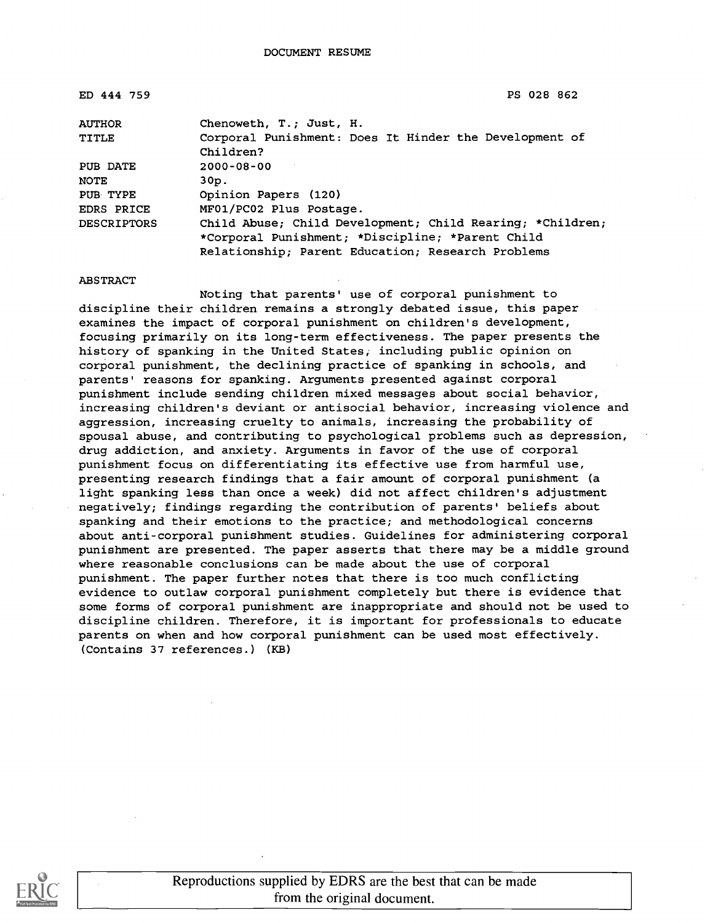ED 444 759 PS 028 862

| <b>AUTHOR</b>      | Chenoweth, T.; Just, H.                                   |
|--------------------|-----------------------------------------------------------|
| <b>TITLE</b>       | Corporal Punishment: Does It Hinder the Development of    |
|                    | Children?                                                 |
| PUB DATE           | $2000 - 08 - 00$                                          |
| NOTE               | 30p.                                                      |
| PUB TYPE           | Opinion Papers (120)                                      |
| EDRS PRICE         | MF01/PC02 Plus Postage.                                   |
| <b>DESCRIPTORS</b> | Child Abuse; Child Development; Child Rearing; *Children; |
|                    | *Corporal Punishment; *Discipline; *Parent Child          |
|                    | Relationship: Parent Education; Research Problems         |

ABSTRACT

Noting that parents' use of corporal punishment to discipline their children remains a strongly debated issue, this paper examines the impact of corporal punishment on children's development, focusing primarily on its long-term effectiveness. The paper presents the history of spanking in the United States, including public opinion on corporal punishment, the declining practice of spanking in schools, and parents' reasons for spanking. Arguments presented against corporal punishment include sending children mixed messages about social behavior, increasing children's deviant or antisocial behavior, increasing violence and aggression, increasing cruelty to animals, increasing the probability of spousal abuse, and contributing to psychological problems such as depression, drug addiction, and anxiety. Arguments in favor of the use of corporal punishment focus on differentiating its effective use from harmful use, presenting research findings that a fair amount of corporal punishment (a light spanking less than once a week) did not affect children's adjustment negatively; findings regarding the contribution of parents' beliefs about spanking and their emotions to the practice; and methodological concerns about anti-corporal punishment studies. Guidelines for administering corporal punishment are presented. The paper asserts that there may be a middle ground where reasonable conclusions can be made about the use of corporal punishment. The paper further notes that there is too much conflicting evidence to outlaw corporal punishment completely but there is evidence that some forms of corporal punishment are inappropriate and should not be used to discipline children. Therefore, it is important for professionals to educate parents on when and how corporal punishment can be used most effectively. (Contains 37 references.) (KB)

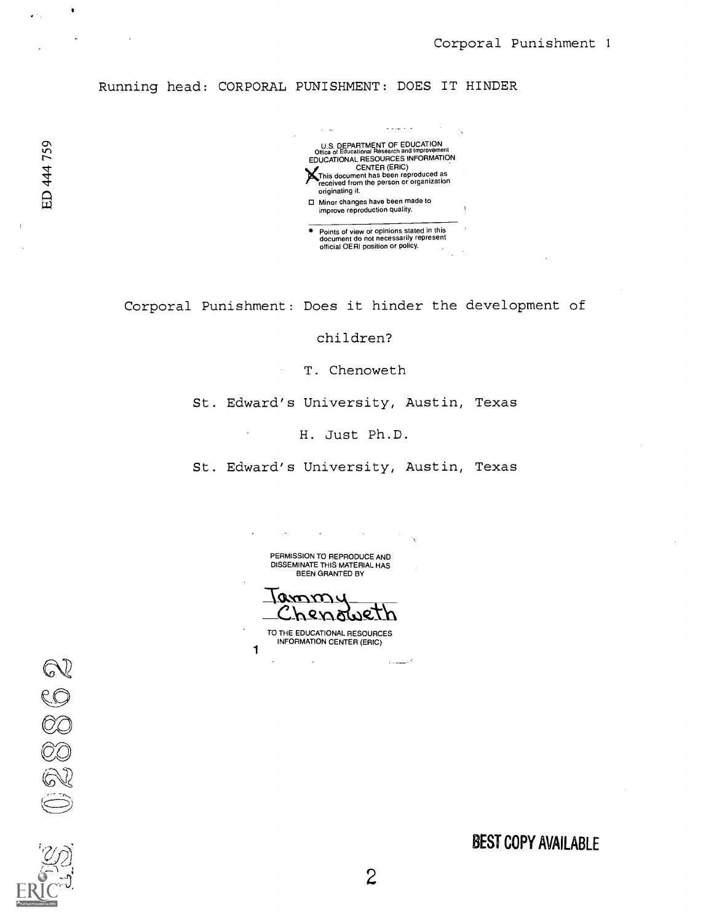Running head: CORPORAL PUNISHMENT: DOES IT HINDER



Corporal Punishment: Does it hinder the development of

children?

T. Chenoweth

St. Edward's University, Austin, Texas

H. Just Ph.D.

St. Edward's University, Austin, Texas

PERMISSION TO REPRODUCE AND DISSEMINATE THIS MATERIAL HAS BEEN GRANTED BY

ammy<br>Chenoweth

TO THE EDUCATIONAL RESOURCES INFORMATION CENTER (ERIC)

1

 $\bar{\gamma}$ 

 $\epsilon$ 

BEST COPY AVAILABLE

كمستنده

 $\bullet$ 

 $\ddot{\phantom{a}}$ 

 $\sim 10$ 

й÷.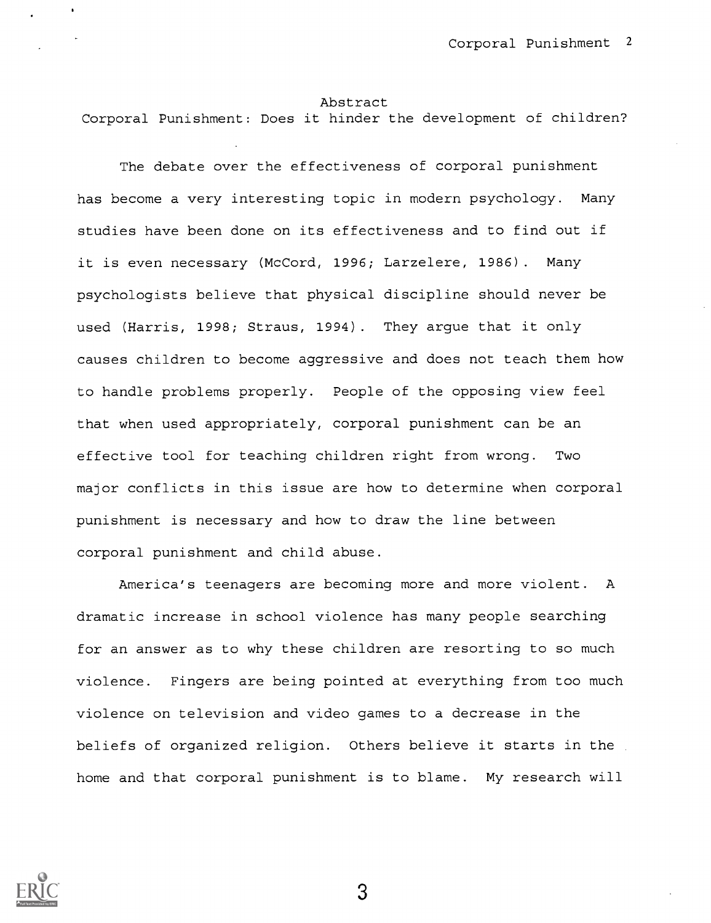#### Abstract

Corporal Punishment: Does it hinder the development of children?

The debate over the effectiveness of corporal punishment has become a very interesting topic in modern psychology. Many studies have been done on its effectiveness and to find out if it is even necessary (McCord, 1996; Larzelere, 1986). Many psychologists believe that physical discipline should never be used (Harris, 1998; Straus, 1994). They argue that it only causes children to become aggressive and does not teach them how to handle problems properly. People of the opposing view feel that when used appropriately, corporal punishment can be an effective tool for teaching children right from wrong. Two major conflicts in this issue are how to determine when corporal punishment is necessary and how to draw the line between corporal punishment and child abuse.

America's teenagers are becoming more and more violent. A dramatic increase in school violence has many people searching for an answer as to why these children are resorting to so much violence. Fingers are being pointed at everything from too much violence on television and video games to a decrease in the beliefs of organized religion. Others believe it starts in the home and that corporal punishment is to blame. My research will

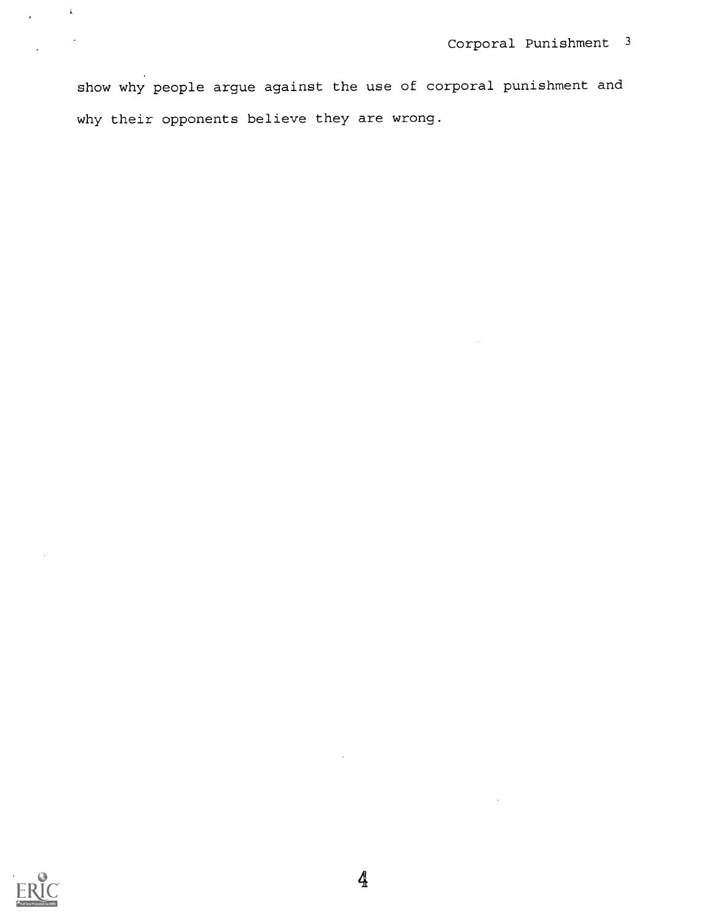show why people argue against the use of corporal punishment and why their opponents believe they are wrong.



 $\frac{1}{2}$ 

 $\ddot{\phantom{a}}$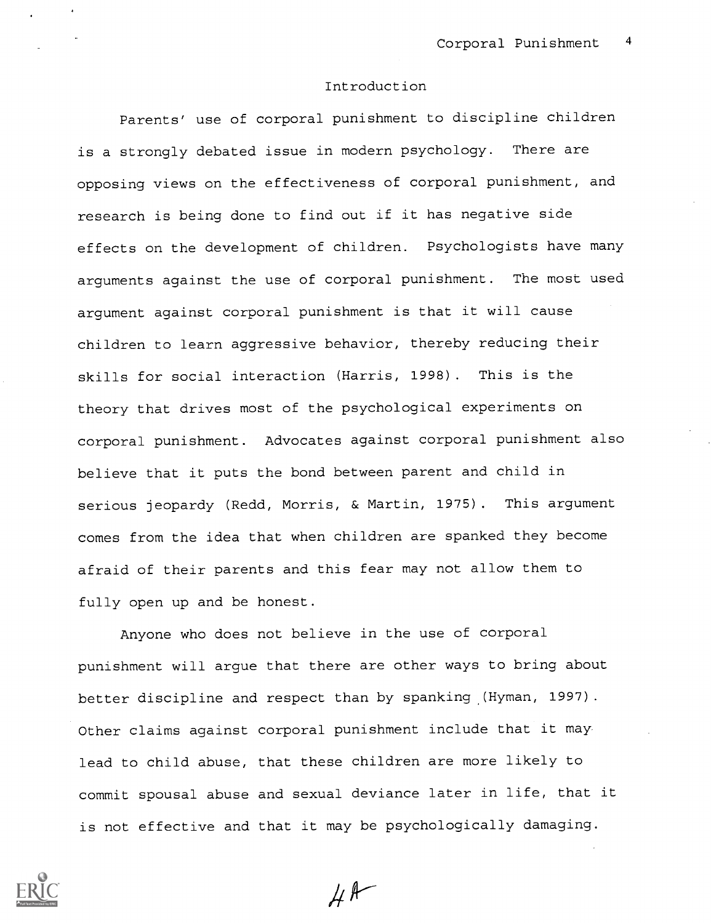### Introduction

Parents' use of corporal punishment to discipline children is a strongly debated issue in modern psychology. There are opposing views on the effectiveness of corporal punishment, and research is being done to find out if it has negative side effects on the development of children. Psychologists have many arguments against the use of corporal punishment. The most used argument against corporal punishment is that it will cause children to learn aggressive behavior, thereby reducing their skills for social interaction (Harris, 1998). This is the theory that drives most of the psychological experiments on corporal punishment. Advocates against corporal punishment also believe that it puts the bond between parent and child in serious jeopardy (Redd, Morris, & Martin, 1975). This argument comes from the idea that when children are spanked they become afraid of their parents and this fear may not allow them to fully open up and be honest.

Anyone who does not believe in the use of corporal punishment will argue that there are other ways to bring about better discipline and respect than by spanking (Hyman, 1997). Other claims against corporal punishment include that it may lead to child abuse, that these children are more likely to commit spousal abuse and sexual deviance later in life, that it is not effective and that it may be psychologically damaging.



 $H^{\text{A}}$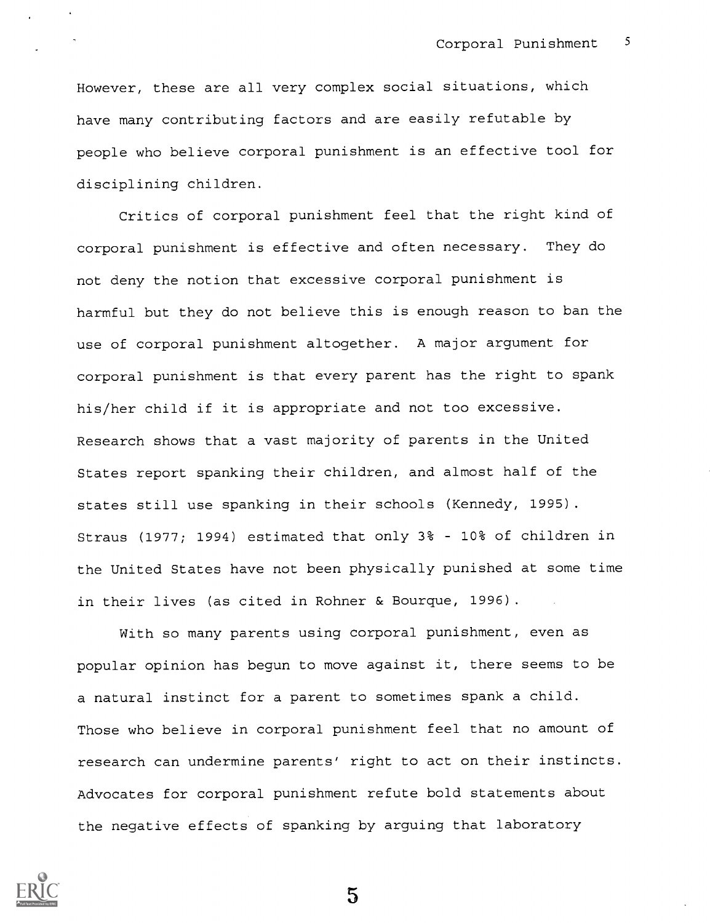However, these are all very complex social situations, which have many contributing factors and are easily refutable by people who believe corporal punishment is an effective tool for disciplining children.

Critics of corporal punishment feel that the right kind of corporal punishment is effective and often necessary. They do not deny the notion that excessive corporal punishment is harmful but they do not believe this is enough reason to ban the use of corporal punishment altogether. A major argument for corporal punishment is that every parent has the right to spank his/her child if it is appropriate and not too excessive. Research shows that a vast majority of parents in the United States report spanking their children, and almost half of the states still use spanking in their schools (Kennedy, 1995). Straus (1977; 1994) estimated that only 3% - 10% of children in the United States have not been physically punished at some time in their lives (as cited in Rohner & Bourque, 1996).

With so many parents using corporal punishment, even as popular opinion has begun to move against it, there seems to be a natural instinct for a parent to sometimes spank a child. Those who believe in corporal punishment feel that no amount of research can undermine parents' right to act on their instincts. Advocates for corporal punishment refute bold statements about the negative effects of spanking by arguing that laboratory

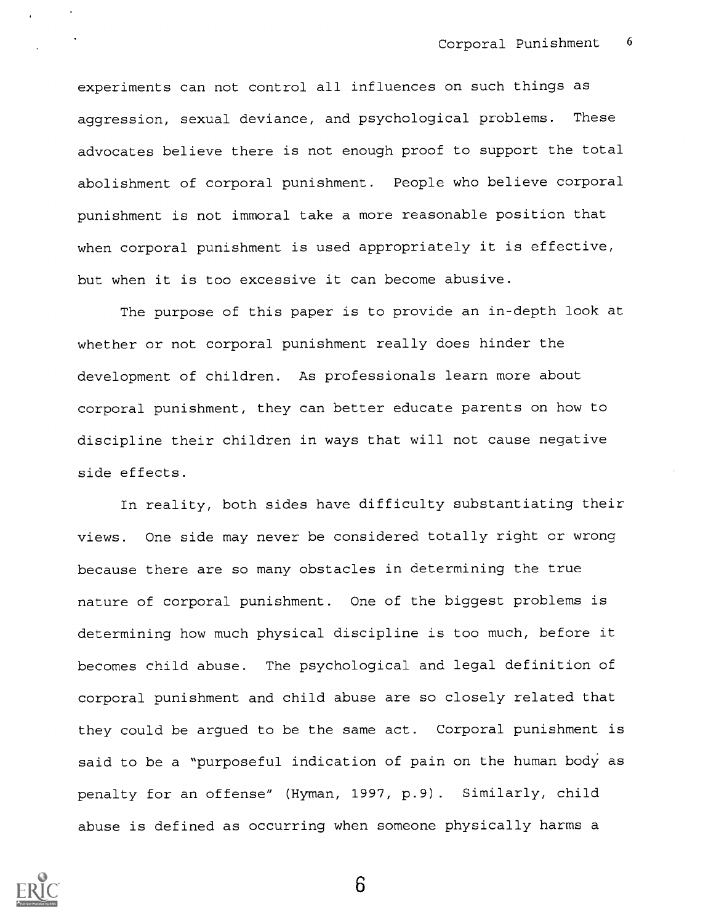experiments can not control all influences on such things as aggression, sexual deviance, and psychological problems. These advocates believe there is not enough proof to support the total abolishment of corporal punishment. People who believe corporal punishment is not immoral take a more reasonable position that when corporal punishment is used appropriately it is effective, but when it is too excessive it can become abusive.

The purpose of this paper is to provide an in-depth look at whether or not corporal punishment really does hinder the development of children. As professionals learn more about corporal punishment, they can better educate parents on how to discipline their children in ways that will not cause negative side effects.

In reality, both sides have difficulty substantiating their views. One side may never be considered totally right or wrong because there are so many obstacles in determining the true nature of corporal punishment. One of the biggest problems is determining how much physical discipline is too much, before it becomes child abuse. The psychological and legal definition of corporal punishment and child abuse are so closely related that they could be argued to be the same act. Corporal punishment is said to be a "purposeful indication of pain on the human body as penalty for an offense" (Hyman, 1997, p.9). Similarly, child abuse is defined as occurring when someone physically harms a

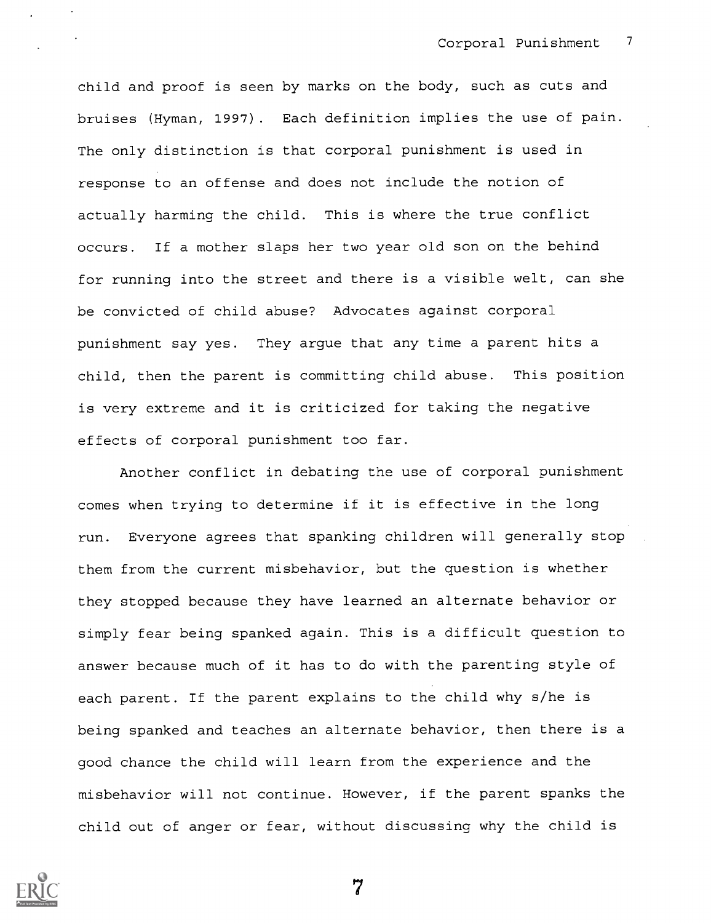child and proof is seen by marks on the body, such as cuts and bruises (Hyman, 1997). Each definition implies the use of pain. The only distinction is that corporal punishment is used in response to an offense and does not include the notion of actually harming the child. This is where the true conflict occurs. If a mother slaps her two year old son on the behind for running into the street and there is a visible welt, can she be convicted of child abuse? Advocates against corporal punishment say yes. They argue that any time a parent hits a child, then the parent is committing child abuse. This position is very extreme and it is criticized for taking the negative effects of corporal punishment too far.

Another conflict in debating the use of corporal punishment comes when trying to determine if it is effective in the long run. Everyone agrees that spanking children will generally stop them from the current misbehavior, but the question is whether they stopped because they have learned an alternate behavior or simply fear being spanked again. This is a difficult question to answer because much of it has to do with the parenting style of each parent. If the parent explains to the child why s/he is being spanked and teaches an alternate behavior, then there is a good chance the child will learn from the experience and the misbehavior will not continue. However, if the parent spanks the child out of anger or fear, without discussing why the child is

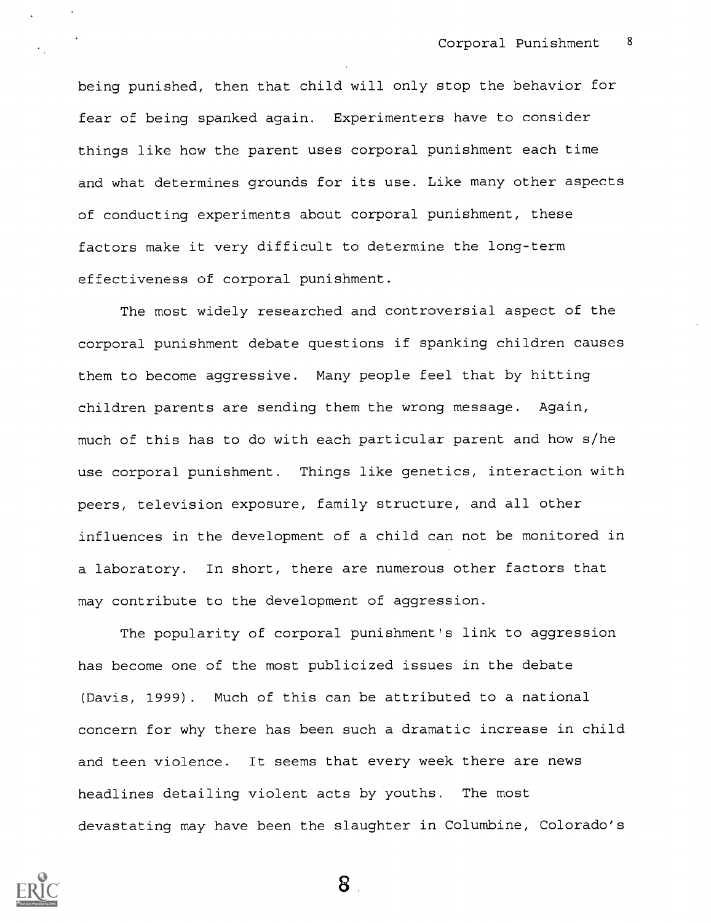being punished, then that child will only stop the behavior for fear of being spanked again. Experimenters have to consider things like how the parent uses corporal punishment each time and what determines grounds for its use. Like many other aspects of conducting experiments about corporal punishment, these factors make it very difficult to determine the long-term effectiveness of corporal punishment.

The most widely researched and controversial aspect of the corporal punishment debate questions if spanking children causes them to become aggressive. Many people feel that by hitting children parents are sending them the wrong message. Again, much of this has to do with each particular parent and how s/he use corporal punishment. Things like genetics, interaction with peers, television exposure, family structure, and all other influences in the development of a child can not be monitored in a laboratory. In short, there are numerous other factors that may contribute to the development of aggression.

The popularity of corporal punishment's link to aggression has become one of the most publicized issues in the debate (Davis, 1999). Much of this can be attributed to a national concern for why there has been such a dramatic increase in child and teen violence. It seems that every week there are news headlines detailing violent acts by youths. The most devastating may have been the slaughter in Columbine, Colorado's

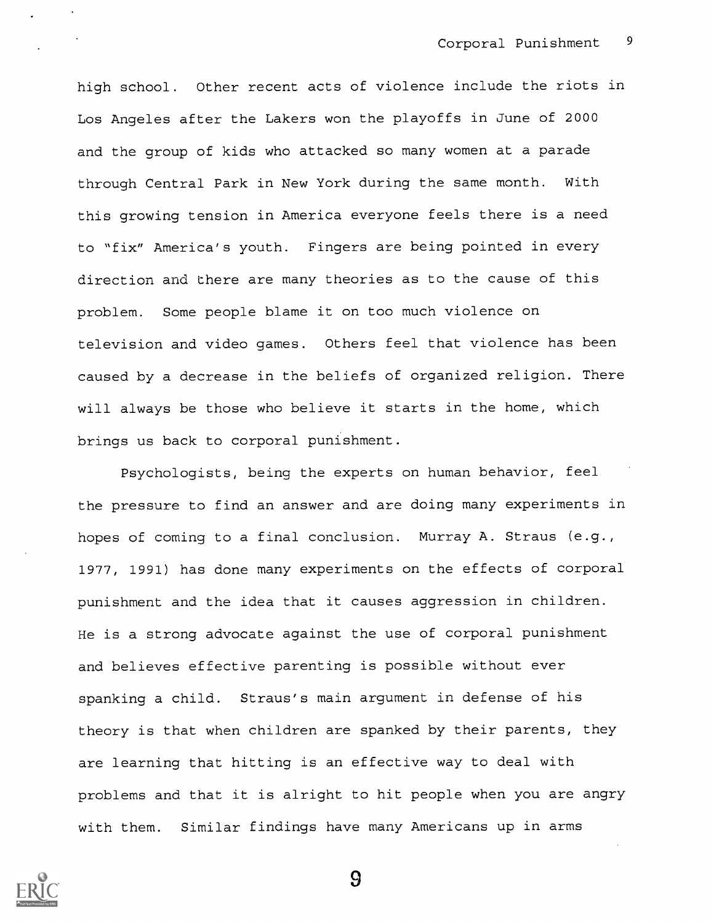high school. Other recent acts of violence include the riots in Los Angeles after the Lakers won the playoffs in June of 2000 and the group of kids who attacked so many women at a parade through Central Park in New York during the same month. With this growing tension in America everyone feels there is a need to "fix" America's youth. Fingers are being pointed in every direction and there are many theories as to the cause of this problem. Some people blame it on too much violence on television and video games. Others feel that violence has been caused by a decrease in the beliefs of organized religion. There will always be those who believe it starts in the home, which brings us back to corporal punishment.

Psychologists, being the experts on human behavior, feel the pressure to find an answer and are doing many experiments in hopes of coming to a final conclusion. Murray A. Straus (e.g., 1977, 1991) has done many experiments on the effects of corporal punishment and the idea that it causes aggression in children. He is a strong advocate against the use of corporal punishment and believes effective parenting is possible without ever spanking a child. Straus's main argument in defense of his theory is that when children are spanked by their parents, they are learning that hitting is an effective way to deal with problems and that it is alright to hit people when you are angry with them. Similar findings have many Americans up in arms

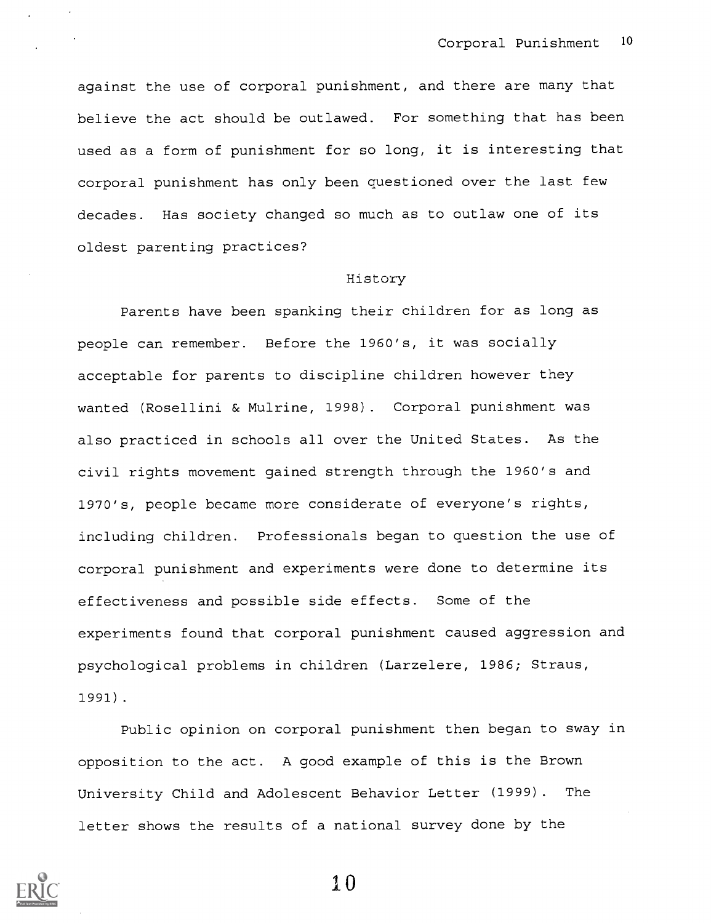against the use of corporal punishment, and there are many that believe the act should be outlawed. For something that has been used as a form of punishment for so long, it is interesting that corporal punishment has only been questioned over the last few decades. Has society changed so much as to outlaw one of its oldest parenting practices?

# History

Parents have been spanking their children for as long as people can remember. Before the 1960's, it was socially acceptable for parents to discipline children however they wanted (Rosellini & Mulrine, 1998). Corporal punishment was also practiced in schools all over the United States. As the civil rights movement gained strength through the 1960's and 1970's, people became more considerate of everyone's rights, including children. Professionals began to question the use of corporal punishment and experiments were done to determine its effectiveness and possible side effects. Some of the experiments found that corporal punishment caused aggression and psychological problems in children (Larzelere, 1986; Straus, 1991).

Public opinion on corporal punishment then began to sway in opposition to the act. A good example of this is the Brown University Child and Adolescent Behavior Letter (1999). The letter shows the results of a national survey done by the

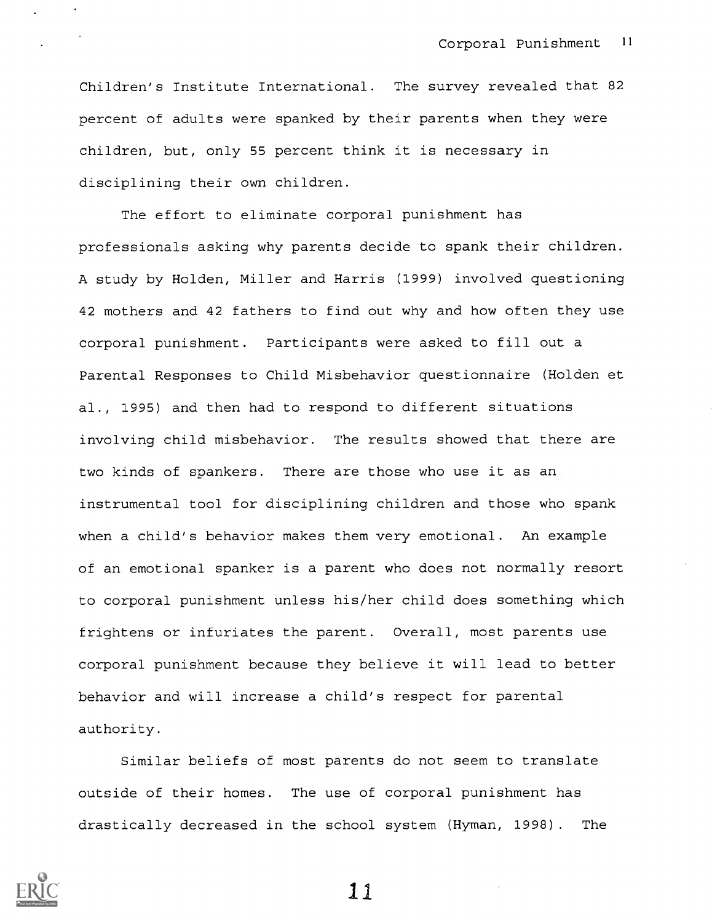Children's Institute International. The survey revealed that 82 percent of adults were spanked by their parents when they were children, but, only 55 percent think it is necessary in disciplining their own children.

The effort to eliminate corporal punishment has professionals asking why parents decide to spank their children. A study by Holden, Miller and Harris (1999) involved questioning 42 mothers and 42 fathers to find out why and how often they use corporal punishment. Participants were asked to fill out a Parental Responses to Child Misbehavior questionnaire (Holden et al., 1995) and then had to respond to different situations involving child misbehavior. The results showed that there are two kinds of spankers. There are those who use it as an instrumental tool for disciplining children and those who spank when a child's behavior makes them very emotional. An example of an emotional spanker is a parent who does not normally resort to corporal punishment unless his/her child does something which frightens or infuriates the parent. Overall, most parents use corporal punishment because they believe it will lead to better behavior and will increase a child's respect for parental authority.

Similar beliefs of most parents do not seem to translate outside of their homes. The use of corporal punishment has drastically decreased in the school system (Hyman, 1998). The

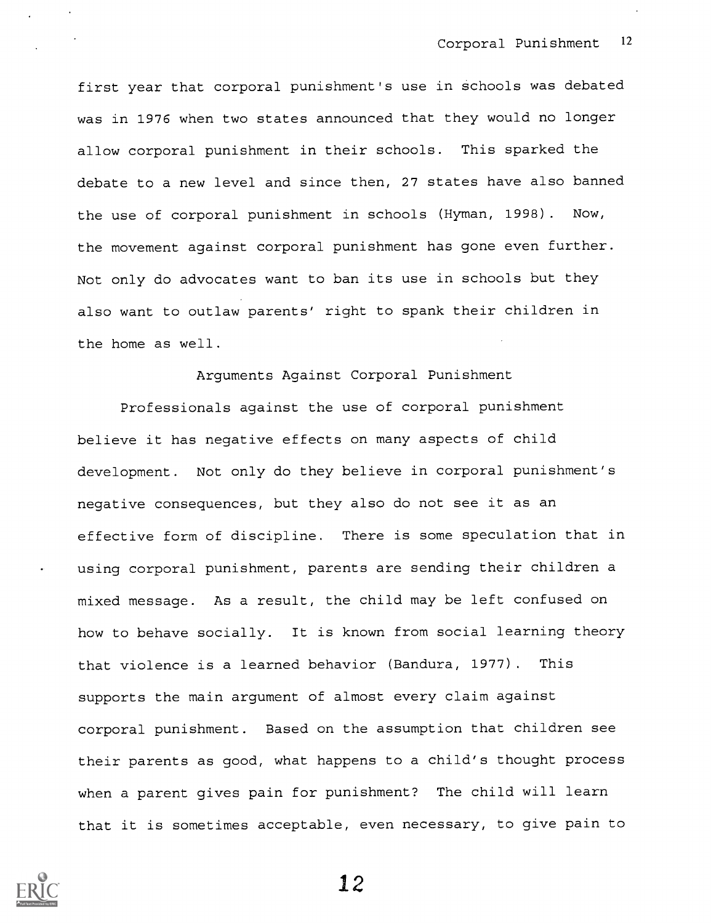first year that corporal punishment's use in schools was debated was in 1976 when two states announced that they would no longer allow corporal punishment in their schools. This sparked the debate to a new level and since then, 27 states have also banned the use of corporal punishment in schools (Hyman, 1998). Now, the movement against corporal punishment has gone even further. Not only do advocates want to ban its use in schools but they also want to outlaw parents' right to spank their children in the home as well.

## Arguments Against Corporal Punishment

Professionals against the use of corporal punishment believe it has negative effects on many aspects of child development. Not only do they believe in corporal punishment's negative consequences, but they also do not see it as an effective form of discipline. There is some speculation that in using corporal punishment, parents are sending their children a mixed message. As a result, the child may be left confused on how to behave socially. It is known from social learning theory that violence is a learned behavior (Bandura, 1977). This supports the main argument of almost every claim against corporal punishment. Based on the assumption that children see their parents as good, what happens to a child's thought process when a parent gives pain for punishment? The child will learn that it is sometimes acceptable, even necessary, to give pain to

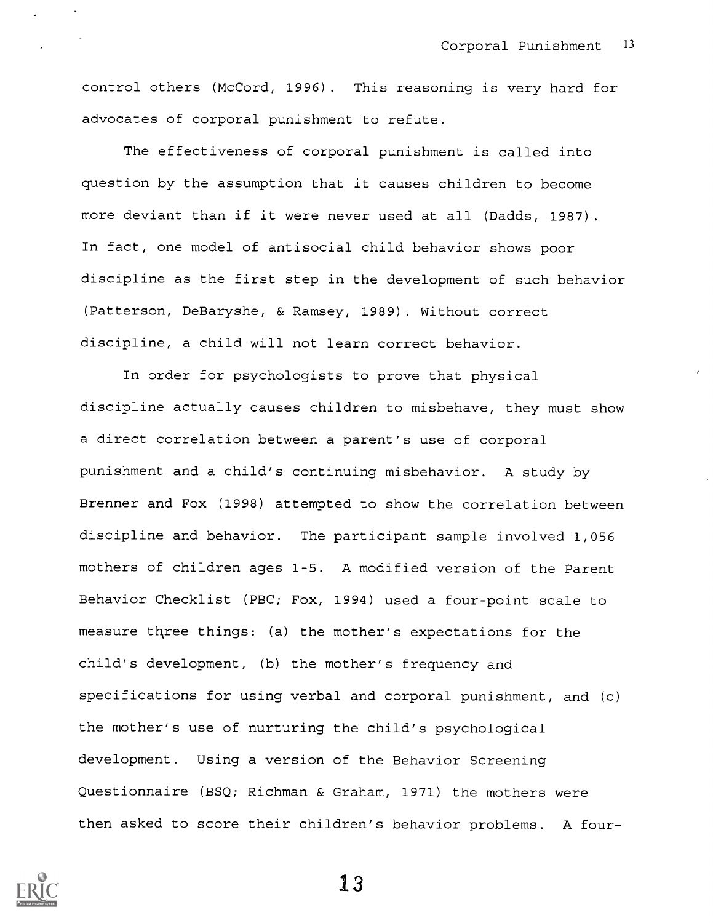control others (McCord, 1996). This reasoning is very hard for advocates of corporal punishment to refute.

The effectiveness of corporal punishment is called into question by the assumption that it causes children to become more deviant than if it were never used at all (Dadds, 1987). In fact, one model of antisocial child behavior shows poor discipline as the first step in the development of such behavior (Patterson, DeBaryshe, & Ramsey, 1989). Without correct discipline, a child will not learn correct behavior.

In order for psychologists to prove that physical discipline actually causes children to misbehave, they must show a direct correlation between a parent's use of corporal punishment and a child's continuing misbehavior. A study by Brenner and Fox (1998) attempted to show the correlation between discipline and behavior. The participant sample involved 1,056 mothers of children ages 1-5. A modified version of the Parent Behavior Checklist (PBC; Fox, 1994) used a four-point scale to measure three things: (a) the mother's expectations for the child's development, (b) the mother's frequency and specifications for using verbal and corporal punishment, and (c) the mother's use of nurturing the child's psychological development. Using a version of the Behavior Screening Questionnaire (BSQ; Richman & Graham, 1971) the mothers were then asked to score their children's behavior problems. A four-

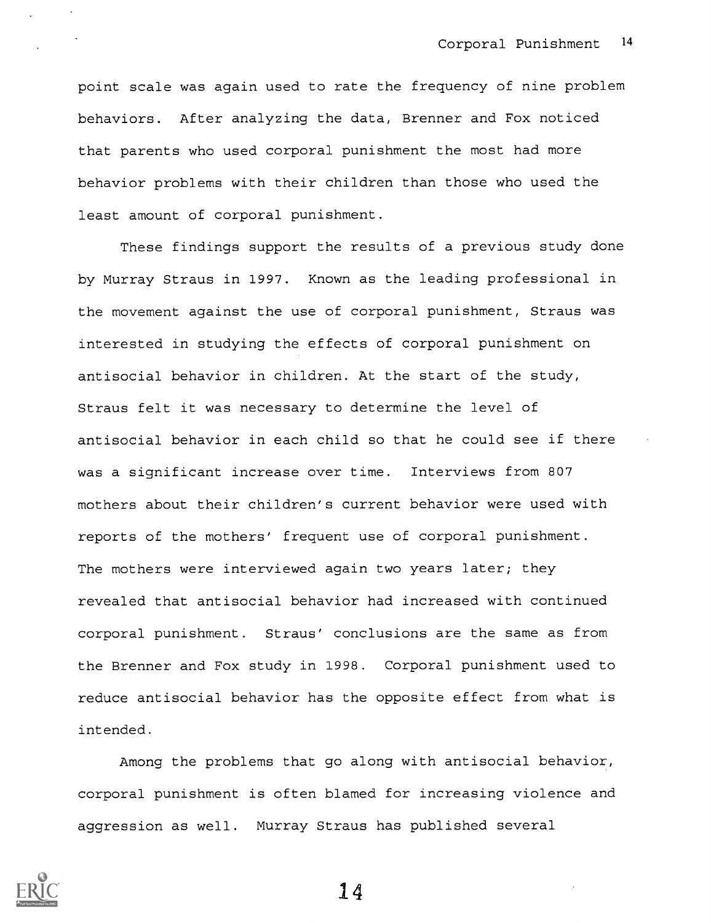point scale was again used to rate the frequency of nine problem behaviors. After analyzing the data, Brenner and Fox noticed that parents who used corporal punishment the most had more behavior problems with their children than those who used the least amount of corporal punishment.

These findings support the results of a previous study done by Murray Straus in 1997. Known as the leading professional in the movement against the use of corporal punishment, Straus was interested in studying the effects of corporal punishment on antisocial behavior in children. At the start of the study, Straus felt it was necessary to determine the level of antisocial behavior in each child so that he could see if there was a significant increase over time. Interviews from 807 mothers about their children's current behavior were used with reports of the mothers' frequent use of corporal punishment. The mothers were interviewed again two years later; they revealed that antisocial behavior had increased with continued corporal punishment. Straus' conclusions are the same as from the Brenner and Fox study in 1998. Corporal punishment used to reduce antisocial behavior has the opposite effect from what is intended.

Among the problems that go along with antisocial behavior, corporal punishment is often blamed for increasing violence and aggression as well. Murray Straus has published several

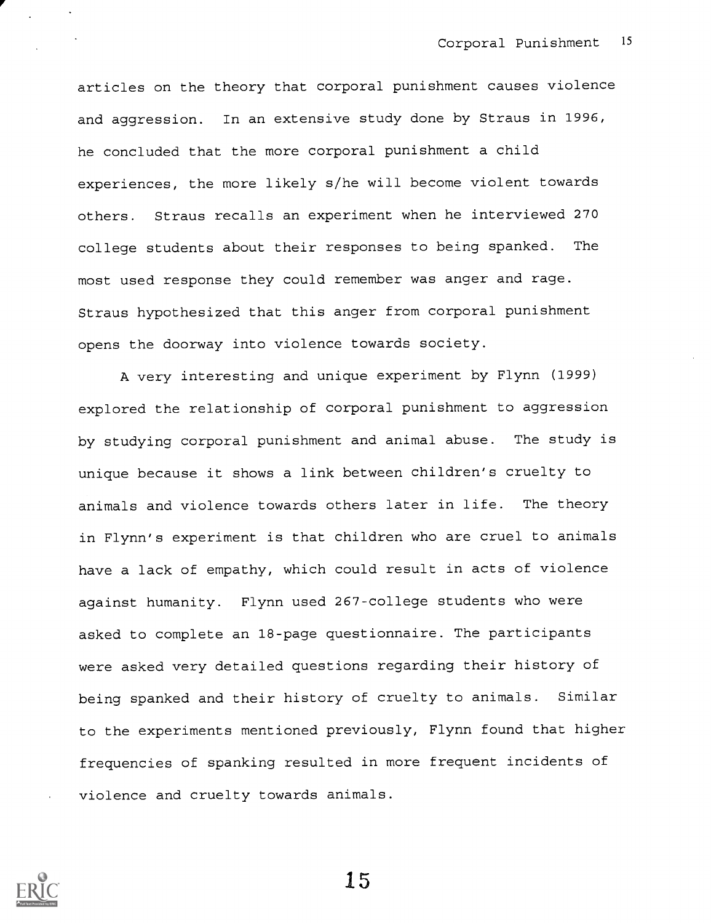articles on the theory that corporal punishment causes violence and aggression. In an extensive study done by Straus in 1996, he concluded that the more corporal punishment a child experiences, the more likely s/he will become violent towards others. Straus recalls an experiment when he interviewed 270 college students about their responses to being spanked. The most used response they could remember was anger and rage. Straus hypothesized that this anger from corporal punishment opens the doorway into violence towards society.

A very interesting and unique experiment by Flynn (1999) explored the relationship of corporal punishment to aggression by studying corporal punishment and animal abuse. The study is unique because it shows a link between children's cruelty to animals and violence towards others later in life. The theory in Flynn's experiment is that children who are cruel to animals have a lack of empathy, which could result in acts of violence against humanity. Flynn used 267-college students who were asked to complete an 18-page questionnaire. The participants were asked very detailed questions regarding their history of being spanked and their history of cruelty to animals. Similar to the experiments mentioned previously, Flynn found that higher frequencies of spanking resulted in more frequent incidents of violence and cruelty towards animals.

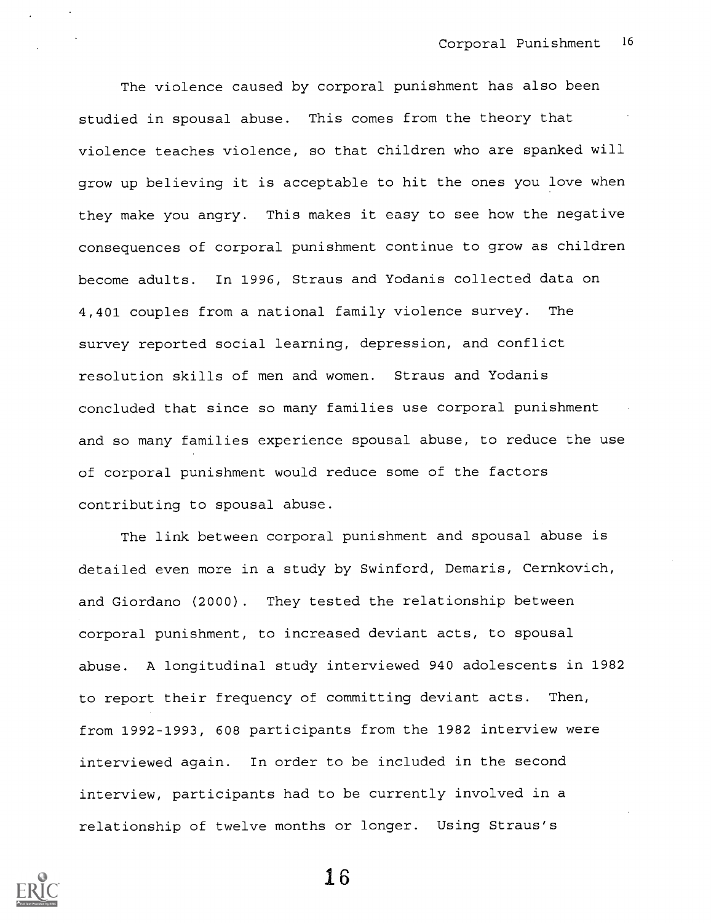The violence caused by corporal punishment has also been studied in spousal abuse. This comes from the theory that violence teaches violence, so that children who are spanked will grow up believing it is acceptable to hit the ones you love when they make you angry. This makes it easy to see how the negative consequences of corporal punishment continue to grow as children become adults. In 1996, Straus and Yodanis collected data on 4,401 couples from a national family violence survey. The survey reported social learning, depression, and conflict resolution skills of men and women. Straus and Yodanis concluded that since so many families use corporal punishment and so many families experience spousal abuse, to reduce the use of corporal punishment would reduce some of the factors contributing to spousal abuse.

The link between corporal punishment and spousal abuse is detailed even more in a study by Swinford, Demaris, Cernkovich, and Giordano (2000). They tested the relationship between corporal punishment, to increased deviant acts, to spousal abuse. A longitudinal study interviewed 940 adolescents in 1982 to report their frequency of committing deviant acts. Then, from 1992-1993, 608 participants from the 1982 interview were interviewed again. In order to be included in the second interview, participants had to be currently involved in a relationship of twelve months or longer. Using Straus's

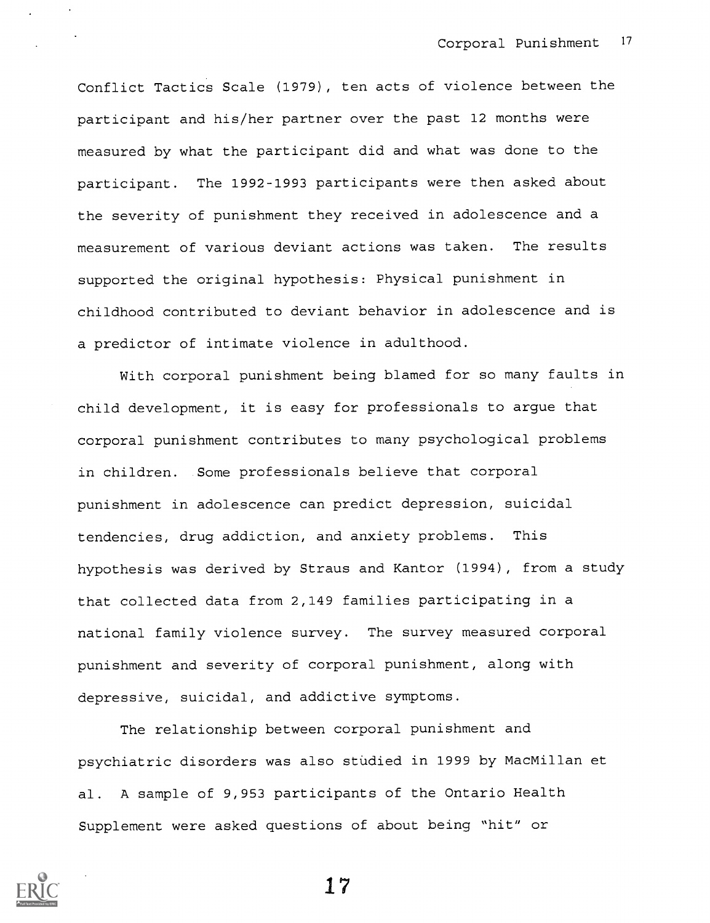Conflict Tactics Scale (1979), ten acts of violence between the participant and his/her partner over the past 12 months were measured by what the participant did and what was done to the participant. The 1992-1993 participants were then asked about the severity of punishment they received in adolescence and a measurement of various deviant actions was taken. The results supported the original hypothesis: Physical punishment in childhood contributed to deviant behavior in adolescence and is a predictor of intimate violence in adulthood.

With corporal punishment being blamed for so many faults in child development, it is easy for professionals to argue that corporal punishment contributes to many psychological problems in children. Some professionals believe that corporal punishment in adolescence can predict depression, suicidal tendencies, drug addiction, and anxiety problems. This hypothesis was derived by Straus and Kantor (1994), from a study that collected data from 2,149 families participating in a national family violence survey. The survey measured corporal punishment and severity of corporal punishment, along with depressive, suicidal, and addictive symptoms.

The relationship between corporal punishment and psychiatric disorders was also studied in 1999 by MacMillan et al. A sample of 9,953 participants of the Ontario Health Supplement were asked questions of about being "hit" or

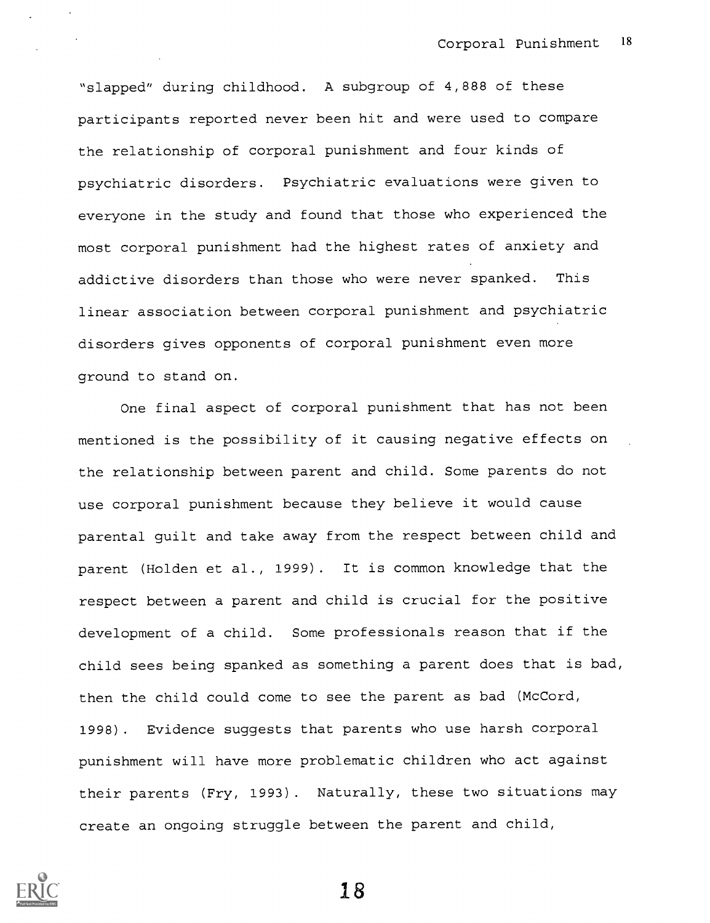"slapped" during childhood. A subgroup of 4,888 of these participants reported never been hit and were used to compare the relationship of corporal punishment and four kinds of psychiatric disorders. Psychiatric evaluations were given to everyone in the study and found that those who experienced the most corporal punishment had the highest rates of anxiety and addictive disorders than those who were never spanked. This linear association between corporal punishment and psychiatric disorders gives opponents of corporal punishment even more ground to stand on.

One final aspect of corporal punishment that has not been mentioned is the possibility of it causing negative effects on the relationship between parent and child. Some parents do not use corporal punishment because they believe it would cause parental guilt and take away from the respect between child and parent (Holden et al., 1999). It is common knowledge that the respect between a parent and child is crucial for the positive development of a child. Some professionals reason that if the child sees being spanked as something a parent does that is bad, then the child could come to see the parent as bad (McCord, 1998). Evidence suggests that parents who use harsh corporal punishment will have more problematic children who act against their parents (Fry, 1993). Naturally, these two situations may create an ongoing struggle between the parent and child,

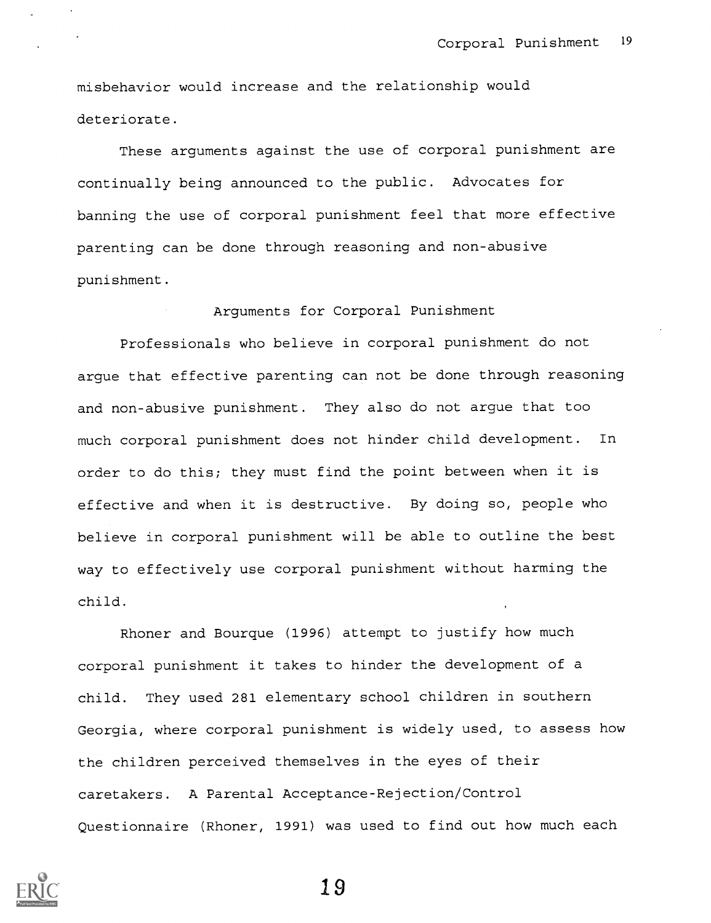misbehavior would increase and the relationship would deteriorate.

These arguments against the use of corporal punishment are continually being announced to the public. Advocates for banning the use of corporal punishment feel that more effective parenting can be done through reasoning and non-abusive punishment.

Arguments for Corporal Punishment

Professionals who believe in corporal punishment do not argue that effective parenting can not be done through reasoning and non-abusive punishment. They also do not argue that too much corporal punishment does not hinder child development. In order to do this; they must find the point between when it is effective and when it is destructive. By doing so, people who believe in corporal punishment will be able to outline the best way to effectively use corporal punishment without harming the child.

Rhoner and Bourque (1996) attempt to justify how much corporal punishment it takes to hinder the development of a child. They used 281 elementary school children in southern Georgia, where corporal punishment is widely used, to assess how the children perceived themselves in the eyes of their caretakers. A Parental Acceptance-Rejection/Control Questionnaire (Rhoner, 1991) was used to find out how much each

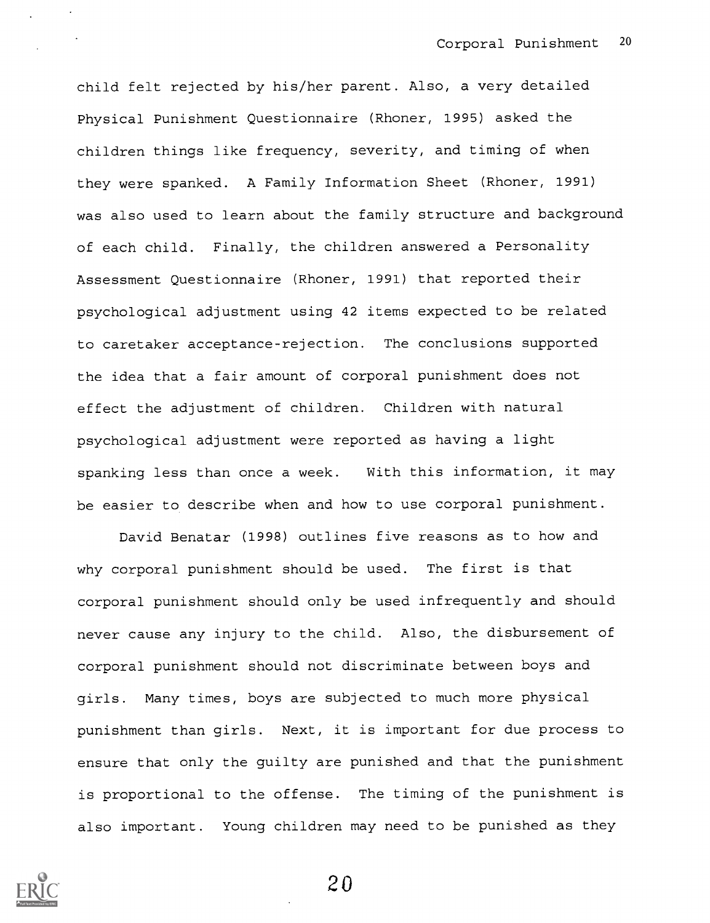child felt rejected by his/her parent. Also, a very detailed Physical Punishment Questionnaire (Rhoner, 1995) asked the children things like frequency, severity, and timing of when they were spanked. A Family Information Sheet (Rhoner, 1991) was also used to learn about the family structure and background of each child. Finally, the children answered a Personality Assessment Questionnaire (Rhoner, 1991) that reported their psychological adjustment using 42 items expected to be related to caretaker acceptance-rejection. The conclusions supported the idea that a fair amount of corporal punishment does not effect the adjustment of children. Children with natural psychological adjustment were reported as having a light spanking less than once a week. With this information, it may be easier to describe when and how to use corporal punishment.

David Benatar (1998) outlines five reasons as to how and why corporal punishment should be used. The first is that corporal punishment should only be used infrequently and should never cause any injury to the child. Also, the disbursement of corporal punishment should not discriminate between boys and girls. Many times, boys are subjected to much more physical punishment than girls. Next, it is important for due process to ensure that only the guilty are punished and that the punishment is proportional to the offense. The timing of the punishment is also important. Young children may need to be punished as they

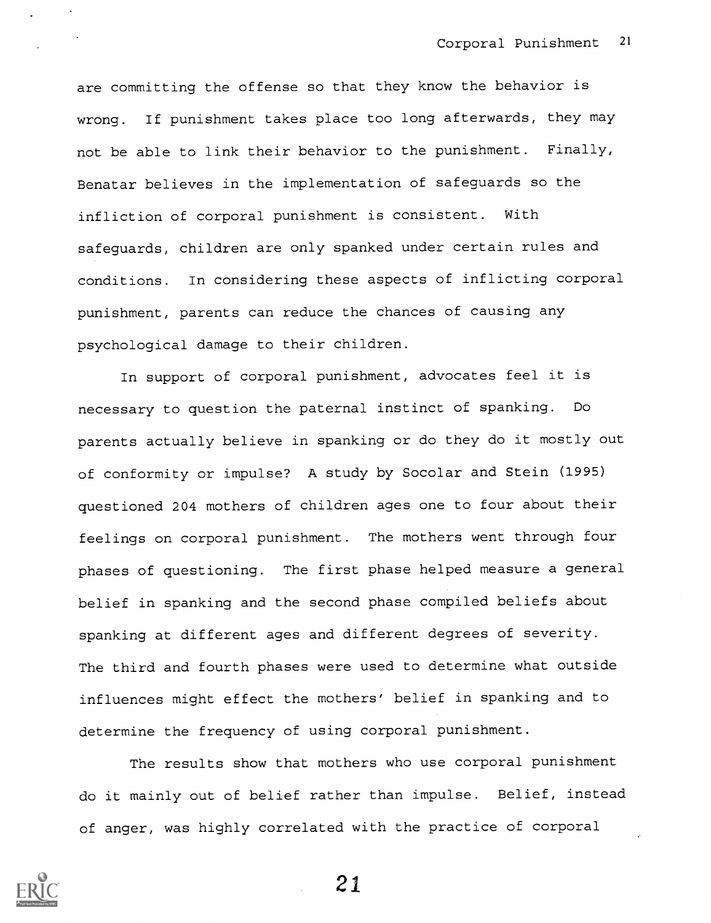are committing the offense so that they know the behavior is wrong. If punishment takes place too long afterwards, they may not be able to link their behavior to the punishment. Finally, Benatar believes in the implementation of safeguards so the infliction of corporal punishment is consistent. With safeguards, children are only spanked under certain rules and conditions. In considering these aspects of inflicting corporal punishment, parents can reduce the chances of causing any psychological damage to their children.

In support of corporal punishment, advocates feel it is necessary to question the paternal instinct of spanking. Do parents actually believe in spanking or do they do it mostly out of conformity or impulse? A study by Socolar and Stein (1995) questioned 204 mothers of children ages one to four about their feelings on corporal punishment. The mothers went through four phases of questioning. The first phase helped measure a general belief in spanking and the second phase compiled beliefs about spanking at different ages and different degrees of severity. The third and fourth phases were used to determine what outside influences might effect the mothers' belief in spanking and to determine the frequency of using corporal punishment.

The results show that mothers who use corporal punishment do it mainly out of belief rather than impulse. Belief, instead of anger, was highly correlated with the practice of corporal

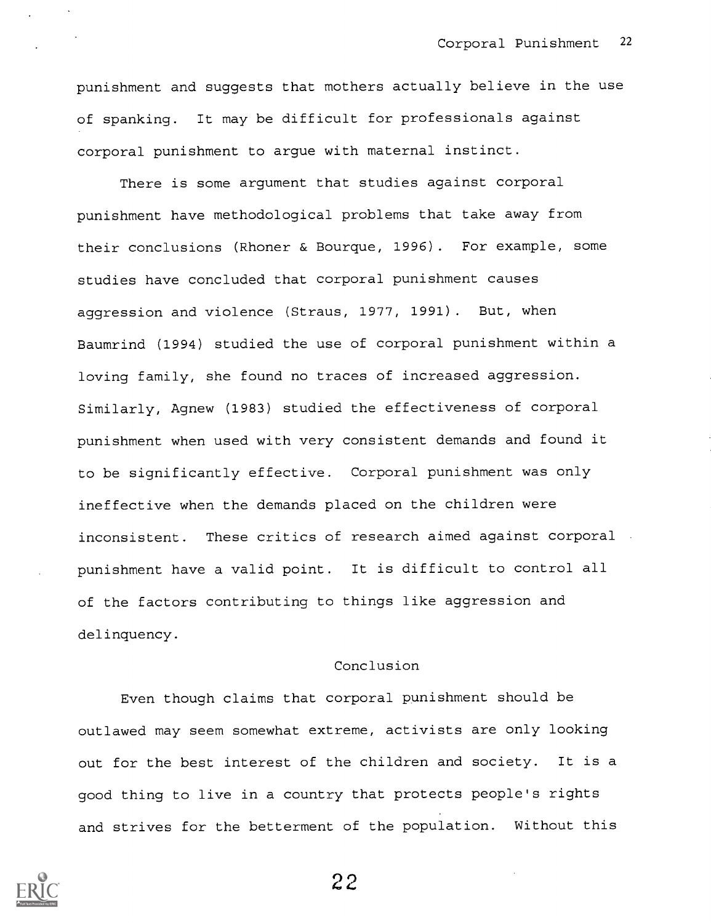punishment and suggests that mothers actually believe in the use of spanking. It may be difficult for professionals against corporal punishment to argue with maternal instinct.

There is some argument that studies against corporal punishment have methodological problems that take away from their conclusions (Rhoner & Bourque, 1996). For example, some studies have concluded that corporal punishment causes aggression and violence (Straus, 1977, 1991). But, when Baumrind (1994) studied the use of corporal punishment within a loving family, she found no traces of increased aggression. Similarly, Agnew (1983) studied the effectiveness of corporal punishment when used with very consistent demands and found it to be significantly effective. Corporal punishment was only ineffective when the demands placed on the children were inconsistent. These critics of research aimed against corporal punishment have a valid point. It is difficult to control all of the factors contributing to things like aggression and delinquency.

# Conclusion

Even though claims that corporal punishment should be outlawed may seem somewhat extreme, activists are only looking out for the best interest of the children and society. It is a good thing to live in a country that protects people's rights and strives for the betterment of the population. Without this

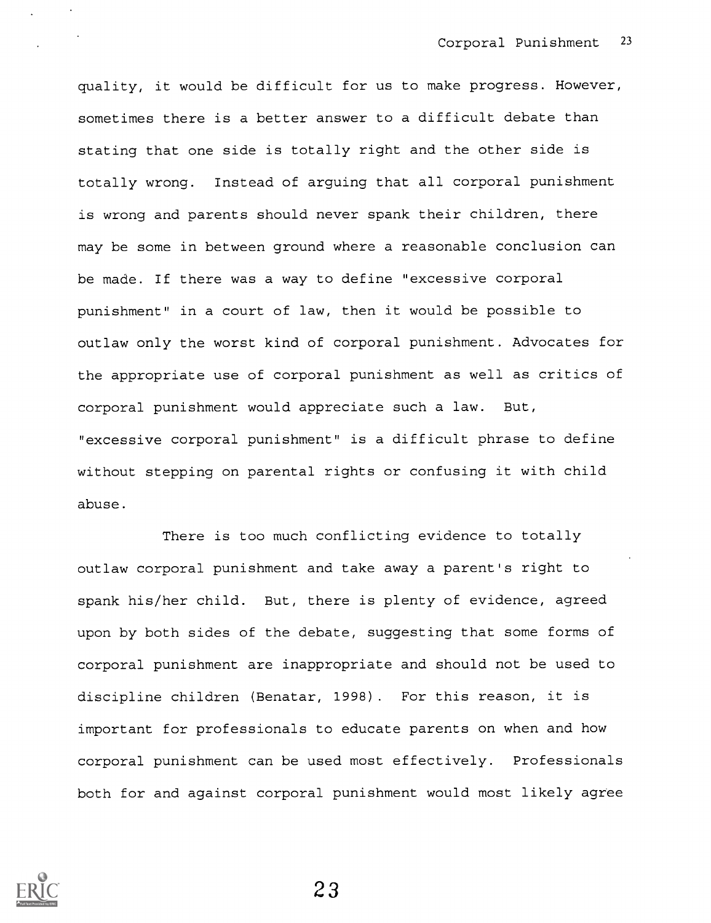quality, it would be difficult for us to make progress. However, sometimes there is a better answer to a difficult debate than stating that one side is totally right and the other side is totally wrong. Instead of arguing that all corporal punishment is wrong and parents should never spank their children, there may be some in between ground where a reasonable conclusion can be made. If there was a way to define "excessive corporal punishment" in a court of law, then it would be possible to outlaw only the worst kind of corporal punishment. Advocates for the appropriate use of corporal punishment as well as critics of corporal punishment would appreciate such a law. But, "excessive corporal punishment" is a difficult phrase to define without stepping on parental rights or confusing it with child abuse.

There is too much conflicting evidence to totally outlaw corporal punishment and take away a parent's right to spank his/her child. But, there is plenty of evidence, agreed upon by both sides of the debate, suggesting that some forms of corporal punishment are inappropriate and should not be used to discipline children (Benatar, 1998). For this reason, it is important for professionals to educate parents on when and how corporal punishment can be used most effectively. Professionals both for and against corporal punishment would most likely agree

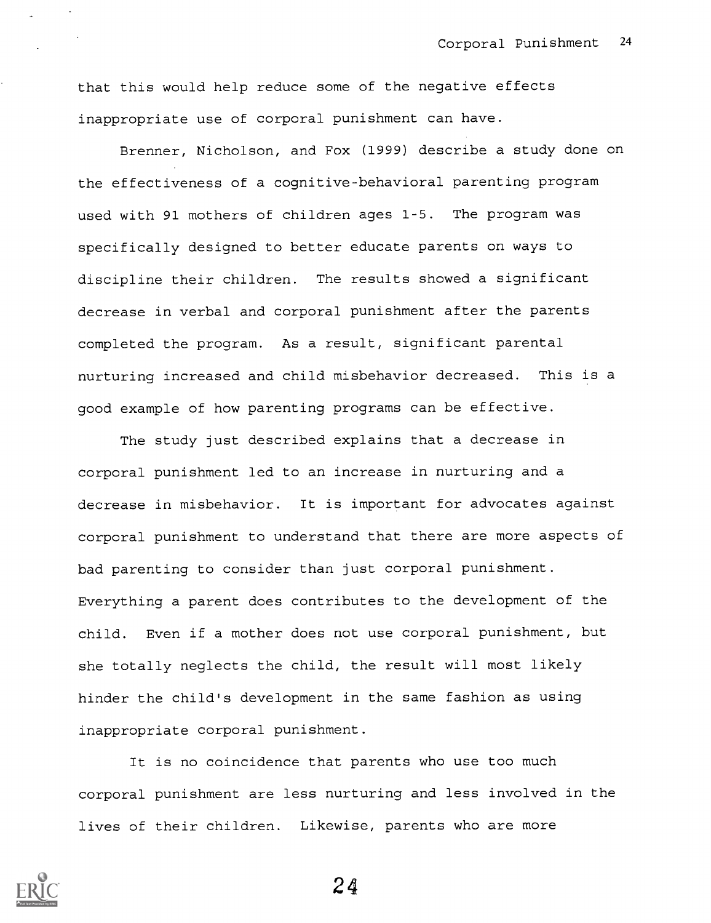that this would help reduce some of the negative effects inappropriate use of corporal punishment can have.

Brenner, Nicholson, and Fox (1999) describe a study done on the effectiveness of a cognitive-behavioral parenting program used with 91 mothers of children ages 1-5. The program was specifically designed to better educate parents on ways to discipline their children. The results showed a significant decrease in verbal and corporal punishment after the parents completed the program. As a result, significant parental nurturing increased and child misbehavior decreased. This is a good example of how parenting programs can be effective.

The study just described explains that a decrease in corporal punishment led to an increase in nurturing and a decrease in misbehavior. It is important for advocates against corporal punishment to understand that there are more aspects of bad parenting to consider than just corporal punishment. Everything a parent does contributes to the development of the child. Even if a mother does not use corporal punishment, but she totally neglects the child, the result will most likely hinder the child's development in the same fashion as using inappropriate corporal punishment.

It is no coincidence that parents who use too much corporal punishment are less nurturing and less involved in the lives of their children. Likewise, parents who are more

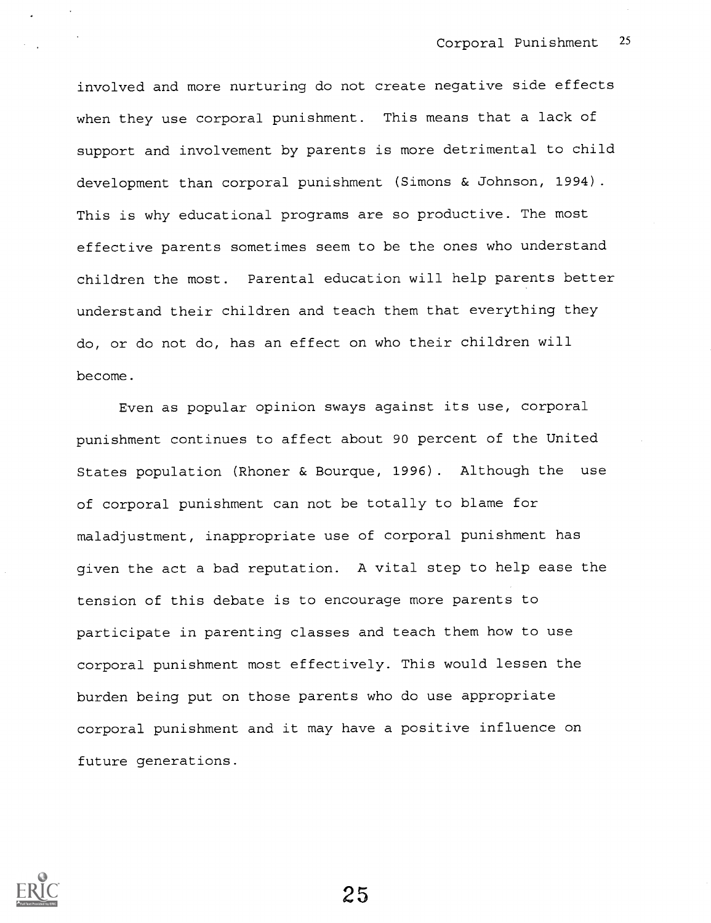involved and more nurturing do not create negative side effects when they use corporal punishment. This means that a lack of support and involvement by parents is more detrimental to child development than corporal punishment (Simons & Johnson, 1994). This is why educational programs are so productive. The most effective parents sometimes seem to be the ones who understand children the most. Parental education will help parents better understand their children and teach them that everything they do, or do not do, has an effect on who their children will become.

Even as popular opinion sways against its use, corporal punishment continues to affect about 90 percent of the United States population (Rhoner & Bourque, 1996). Although the use of corporal punishment can not be totally to blame for maladjustment, inappropriate use of corporal punishment has given the act a bad reputation. A vital step to help ease the tension of this debate is to encourage more parents to participate in parenting classes and teach them how to use corporal punishment most effectively. This would lessen the burden being put on those parents who do use appropriate corporal punishment and it may have a positive influence on future generations.

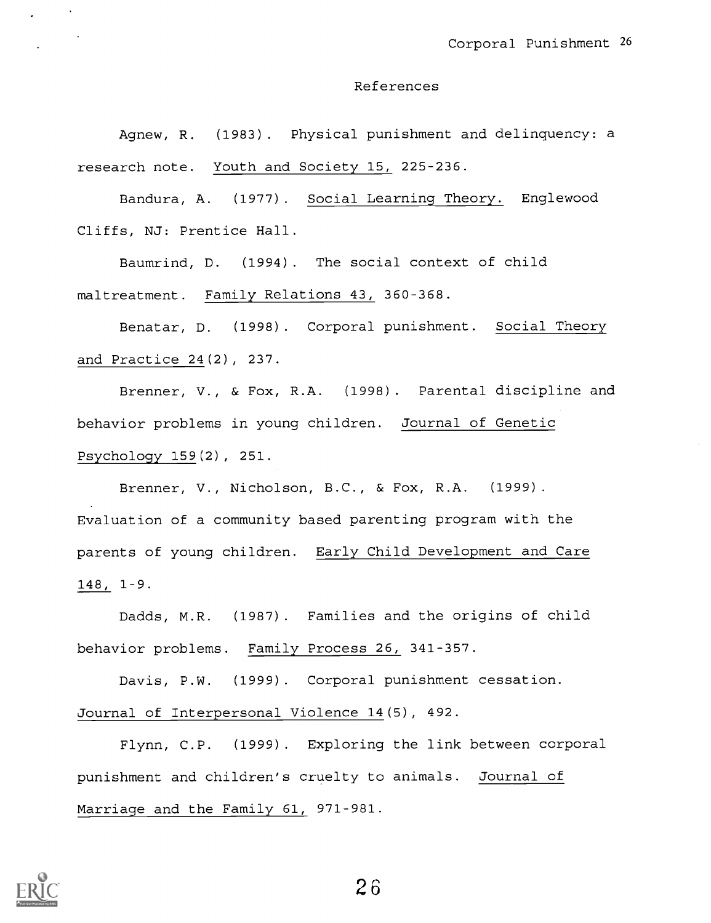#### References

Agnew, R. (1983). Physical punishment and delinquency: a research note. Youth and Society 15, 225-236.

Bandura, A. (1977). Social Learning Theory. Englewood Cliffs, NJ: Prentice Hall.

Baumrind, D. (1994). The social context of child maltreatment. Family Relations 43, 360-368.

Benatar, D. (1998). Corporal punishment. Social Theory and Practice 24(2), 237.

Brenner, V., & Fox, R.A. (1998). Parental discipline and behavior problems in young children. Journal of Genetic Psychology 159(2), 251.

Brenner, V., Nicholson, B.C., & Fox, R.A. (1999). Evaluation of a community based parenting program with the parents of young children. Early Child Development and Care 148, 1-9.

Dadds, M.R. (1987). Families and the origins of child behavior problems. Family Process 26, 341-357.

Davis, P.W. (1999). Corporal punishment cessation. Journal of Interpersonal Violence 14(5), 492.

Flynn, C.P. (1999). Exploring the link between corporal punishment and children's cruelty to animals. Journal of Marriage and the Family 61, 971-981.

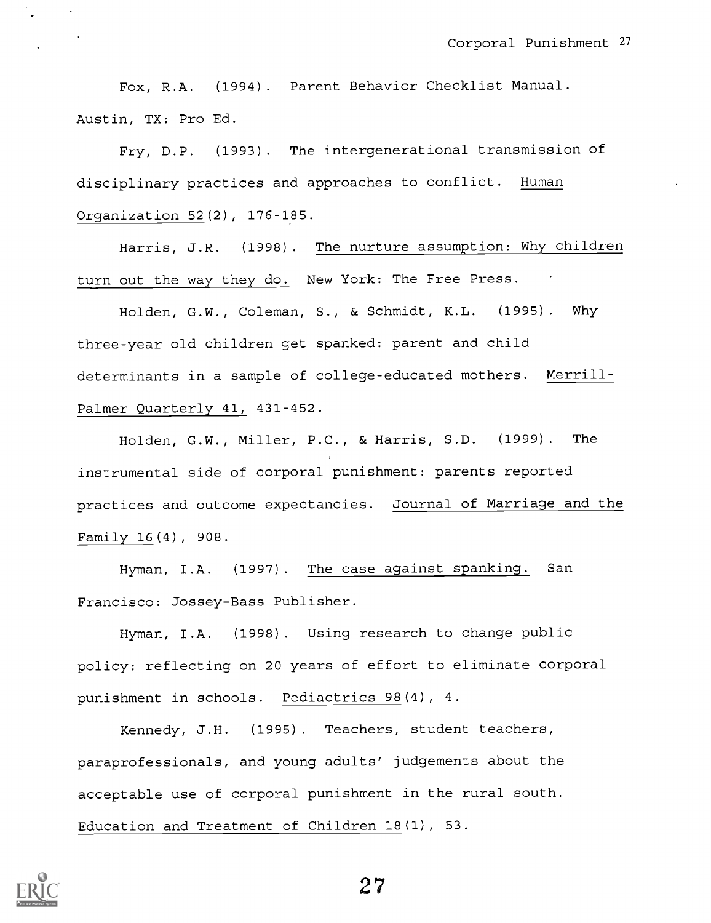Fox, R.A. (1994). Parent Behavior Checklist Manual. Austin, TX: Pro Ed.

Fry, D.P. (1993). The intergenerational transmission of disciplinary practices and approaches to conflict. Human Organization 52(2), 176-185.

Harris, J.R. (1998). The nurture assumption: Why children turn out the way they do. New York: The Free Press.

Holden, G.W., Coleman, S., & Schmidt, K.L. (1995). Why three-year old children get spanked: parent and child determinants in a sample of college-educated mothers. Merrill-Palmer Quarterly 41, 431-452.

Holden, G.W., Miller, P.C., & Harris, S.D. (1999). The instrumental side of corporal punishment: parents reported practices and outcome expectancies. Journal of Marriage and the Family 16(4), 908.

Hyman, I.A. (1997). The case against spanking. San Francisco: Jossey-Bass Publisher.

Hyman, I.A. (1998). Using research to change public policy: reflecting on 20 years of effort to eliminate corporal punishment in schools. Pediactrics 98(4), 4.

Kennedy, J.H. (1995). Teachers, student teachers, paraprofessionals, and young adults' judgements about the acceptable use of corporal punishment in the rural south. Education and Treatment of Children 18(1), 53.

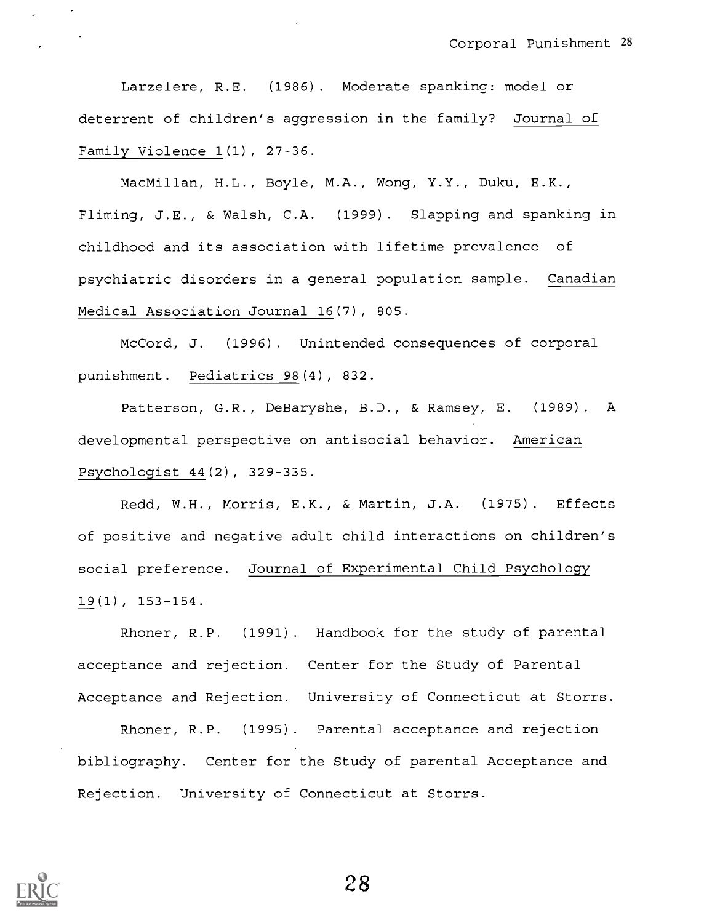Larzelere, R.E. (1986). Moderate spanking: model or deterrent of children's aggression in the family? Journal of Family Violence 1(1), 27-36.

MacMillan, H.L., Boyle, M.A., Wong, Y.Y., Duku, E.K., Fliming, J.E., & Walsh, C.A. (1999). Slapping and spanking in childhood and its association with lifetime prevalence of psychiatric disorders in a general population sample. Canadian Medical Association Journal 16(7), 805.

McCord, J. (1996). Unintended consequences of corporal punishment. Pediatrics 98(4), 832.

Patterson, G.R., DeBaryshe, B.D., & Ramsey, E. (1989). A developmental perspective on antisocial behavior. American Psychologist 44(2), 329-335.

Redd, W.H., Morris, E.K., & Martin, J.A. (1975). Effects of positive and negative adult child interactions on children's social preference. Journal of Experimental Child Psychology 19(1), 153-154.

Rhoner, R.P. (1991). Handbook for the study of parental acceptance and rejection. Center for the Study of Parental Acceptance and Rejection. University of Connecticut at Storrs.

Rhoner, R.P. (1995). Parental acceptance and rejection bibliography. Center for the Study of parental Acceptance and Rejection. University of Connecticut at Storrs.

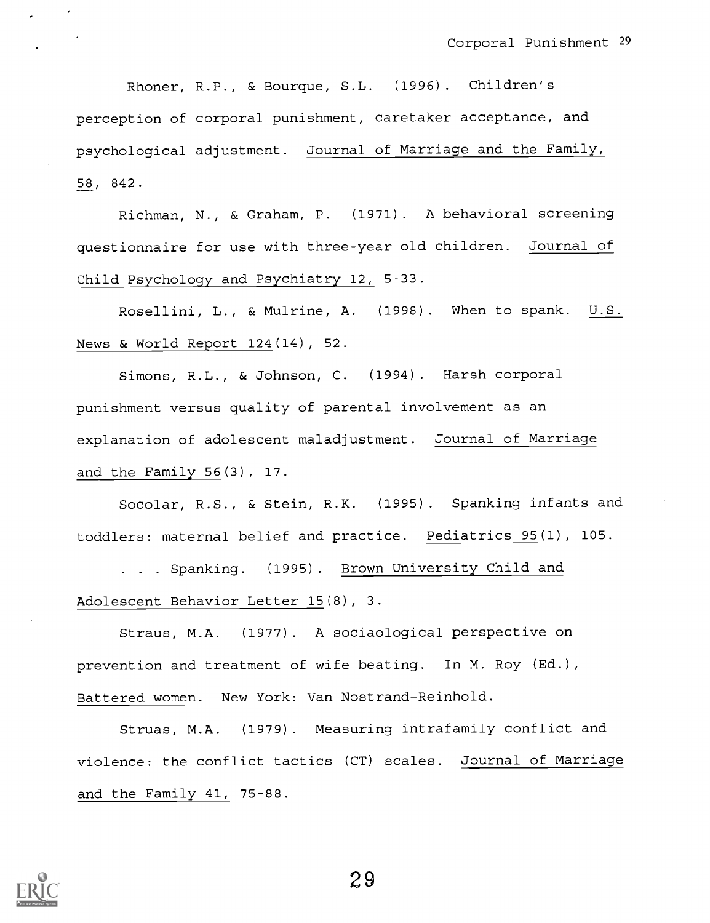Rhoner, R.P., & Bourque, S.L. (1996). Children's perception of corporal punishment, caretaker acceptance, and psychological adjustment. Journal of Marriage and the Family, 58, 842.

Richman, N., & Graham, P. (1971). A behavioral screening questionnaire for use with three-year old children. Journal of Child Psychology and Psychiatry 12, 5-33.

Rosellini, L., & Mulrine, A. (1998). When to spank. U.S. News & World Report 124(14), 52.

Simons, R.L., & Johnson, C. (1994). Harsh corporal punishment versus quality of parental involvement as an explanation of adolescent maladjustment. Journal of Marriage and the Family 56(3), 17.

Socolar, R.S., & Stein, R.K. (1995). Spanking infants and toddlers: maternal belief and practice. Pediatrics 95(1), 105.

. . . Spanking. (1995). Brown University Child and Adolescent Behavior Letter 15(8), 3.

Straus, M.A. (1977). A sociaological perspective on prevention and treatment of wife beating. In M. Roy (Ed.), Battered women. New York: Van Nostrand-Reinhold.

Struas, M.A. (1979). Measuring intrafamily conflict and violence: the conflict tactics (CT) scales. Journal of Marriage and the Family 41, 75-88.

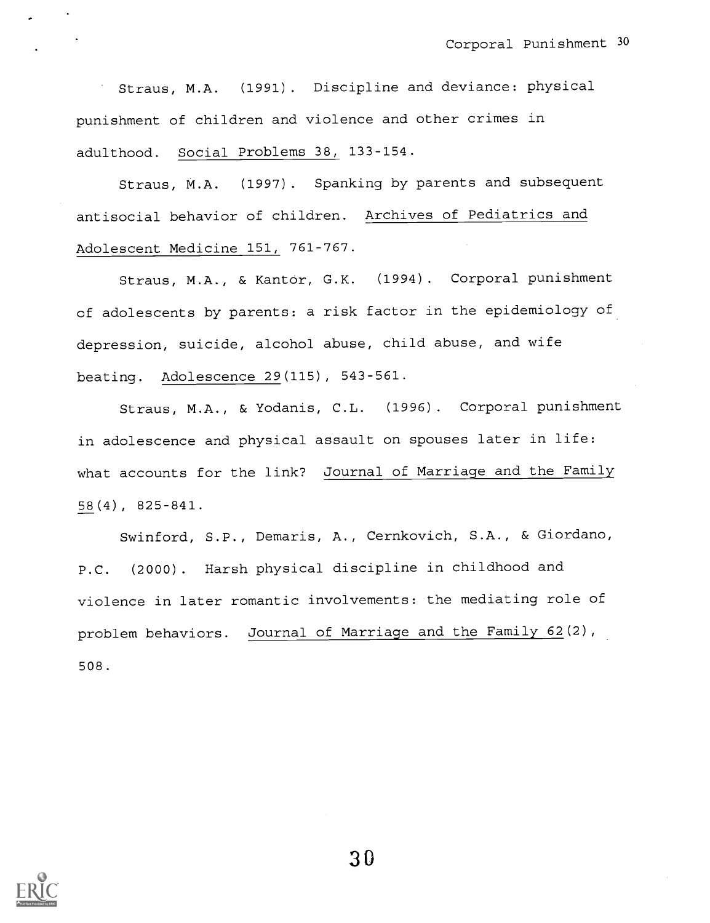Straus, M.A. (1991). Discipline and deviance: physical punishment of children and violence and other crimes in adulthood. Social Problems 38, 133-154.

Straus, M.A. (1997). Spanking by parents and subsequent antisocial behavior of children. Archives of Pediatrics and Adolescent Medicine 151, 761-767.

Straus, M.A., & Kantor, G.K. (1994). Corporal punishment of adolescents by parents: a risk factor in the epidemiology of depression, suicide, alcohol abuse, child abuse, and wife beating. Adolescence 29(115), 543-561.

Straus, M.A., & Yodanis, C.L. (1996). Corporal punishment in adolescence and physical assault on spouses later in life: what accounts for the link? Journal of Marriage and the Family 58(4), 825-841.

Swinford, S.P., Demaris, A., Cernkovich, S.A., & Giordano, P.C. (2000). Harsh physical discipline in childhood and violence in later romantic involvements: the mediating role of problem behaviors. Journal of Marriage and the Family 62(2), 508.

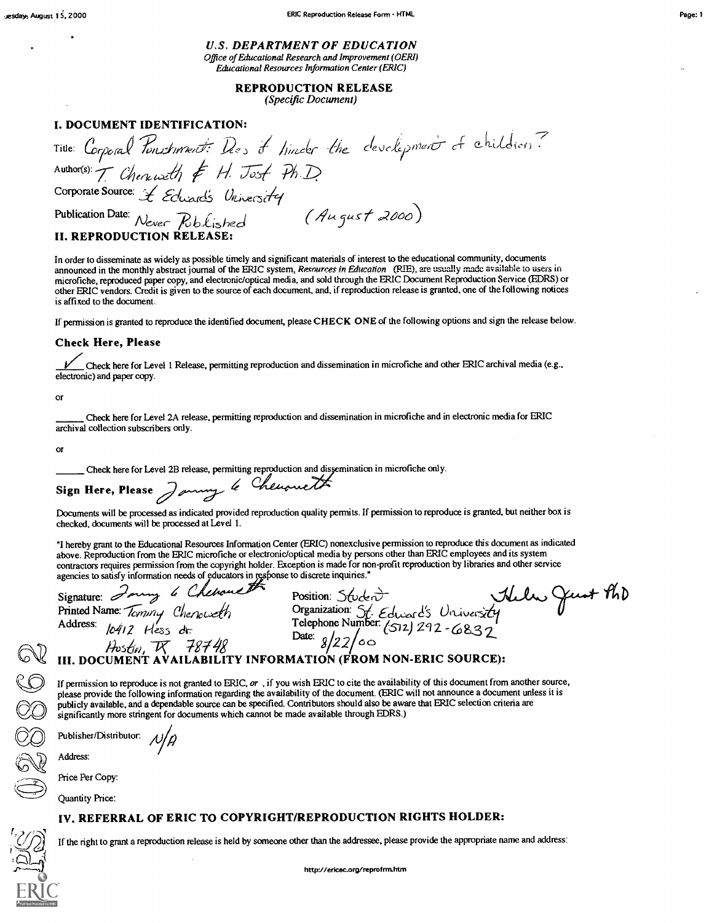Page: 1

U.S. DEPARTMENT OF EDUCATION Office of Educational Research and Improvement (OERI) Educational Resources Information Center (ERIC)

> REPRODUCTION RELEASE (Specific Document)

### I. DOCUMENT IDENTIFICATION:

Title: Corporal Ponschment: Des it h Author(s):  $\tau$  (then with Corporate Source: *L Eclusads University*<br>Publication Date: Never Rib Kished (August 2000) Publication Date:  $N_{ever}$   $Rblished$ **II. REPRODUCTION RELEA** of hinder the development of chil i...(dier) (

In order to disseminate as widely as possible timely and significant materials of interest to the educational community, documents announced in the monthly abstract journal of the ERIC system, Resources in Education (RIE), are usually made available to users in microfiche, reproduced paper copy, and electronic/optical media, and sold through the ERIC Document Reproduction Service (EDRS) or other ERIC vendors. Credit is given to the source of each document, and, if reproduction release is granted, one of the following notices is affixed to the document.

If permission is granted to reproduce the identified document, please CHECK ONE of the following options and sign the release below.

Check Here, Please<br>
Check here for Level 1 Release, permitting reproduction and dissemination in microfiche and other ERIC archival media (e.g., electronic) and paper copy.

Or

Check here for Level 2A release, permitting reproduction and dissemination in microfiche and in electronic media for ERIC archival collection subscribers only.

or

Check here for Level 2B release, permitting reproduction and dissemination in microfiche only.

significantly more stringent for documents which cannot be made available through EDRS.)

Sign Here, Please Janny le Chenouett

Documents will be processed as indicated provided reproduction quality permits. If permission to reproduce is granted, but neither box is checked, documents will be processed at Level 1.

"I hereby grant to the Educational Resources Information Center (ERIC) nonexclusive permission to reproduce this document as indicated above. Reproduction from the ERIC microfiche or electronic/optical media by persons other than ERIC employees and its system contractors requires permission from the copyright holder. Exception is made for non-profit reproduction by libraries and other service

If permission to reproduce is not granted to ERIC,  $or$ , if you wish ERIC to cite the availability of this document from another source, please provide the following information regarding the availability of the document. (ERIC will not announce a document unless it is publicly available, and a dependable source can be specified. Contributors should also be aware that ERIC selection criteria are

Exercises to satisfy information needs of educators in response to discrete inquiries."<br>
Signature: January Chenevelly<br>
Position: Stude<br>
Printed Name: Temmy Chenevelly<br>
Address:  $10412$  Hess dr. Date: Signature: Jany 6 Chemanes Position: Student

Printed Name:  $T_{cymn}$ ,  $C_{hench}$ , Che Cheaper and Continues of Education:  $St$  Education:  $St$  $\omega$ dent  $\rightarrow$  thele Gust the Finited Native. *ICMMY* Chenouse M<br>Address:  $10412$  Hess dr. Telephone Number. (512) 292-6832 I. --Pc 78144 Date: 8122 oo III. DOCUMENT AVAILABILITY INFORMATION (FROM NON-ERIC SOURCE):

 $\mathbb{C}\mathbb{V}$  iii. docu CC CC<br>CC CC<br>CC

Publisher/Distributor:

Address:

Price Per Copy: Quantity Price:

IV. REFERRAL OF ERIC TO COPYRIGHT/REPRODUCTION RIGHTS HOLDER:

If the right to grant a reproduction release is held by someone other than the addressee, please provide the appropriate name and address: